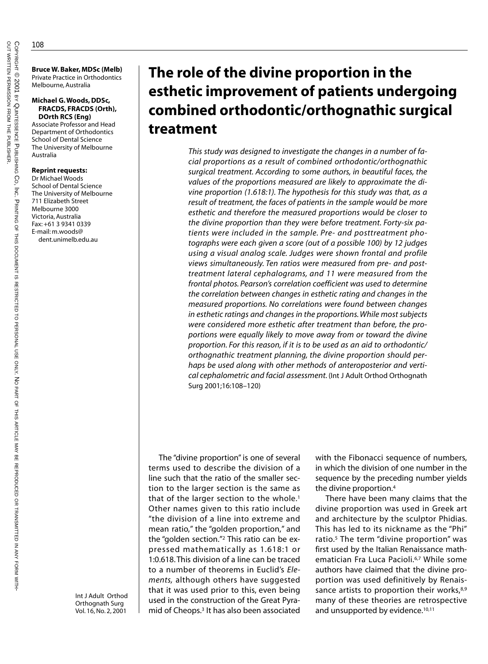**Bruce W. Baker, MDSc (Melb)** Private Practice in Orthodontics Melbourne, Australia

#### **Michael G. Woods, DDSc, FRACDS, FRACDS (Orth), DOrth RCS (Eng)**

Associate Professor and Head Department of Orthodontics School of Dental Science The University of Melbourne Australia

## **Reprint requests:**

Dr Michael Woods School of Dental Science The University of Melbourne 711 Elizabeth Street Melbourne 3000 Victoria, Australia Fax: +61 3 9341 0339 E-mail: m.woods@ dent.unimelb.edu.au

> Int J Adult Orthod Orthognath Surg Vol. 16, No. 2, 2001

# **The role of the divine proportion in the esthetic improvement of patients undergoing combined orthodontic/orthognathic surgical treatment**

*This study was designed to investigate the changes in a number of facial proportions as a result of combined orthodontic/orthognathic surgical treatment. According to some authors, in beautiful faces, the values of the proportions measured are likely to approximate the divine proportion (1.618:1). The hypothesis for this study was that, as a result of treatment, the faces of patients in the sample would be more esthetic and therefore the measured proportions would be closer to the divine proportion than they were before treatment. Forty-six patients were included in the sample. Pre- and posttreatment photographs were each given a score (out of a possible 100) by 12 judges using a visual analog scale. Judges were shown frontal and profile views simultaneously. Ten ratios were measured from pre- and posttreatment lateral cephalograms, and 11 were measured from the frontal photos. Pearson's correlation coefficient was used to determine the correlation between changes in esthetic rating and changes in the measured proportions. No correlations were found between changes in esthetic ratings and changes in the proportions. While most subjects were considered more esthetic after treatment than before, the proportions were equally likely to move away from or toward the divine proportion. For this reason, if it is to be used as an aid to orthodontic/ orthognathic treatment planning, the divine proportion should perhaps be used along with other methods of anteroposterior and vertical cephalometric and facial assessment.* (Int J Adult Orthod Orthognath Surg 2001;16:108–120)

The "divine proportion" is one of several terms used to describe the division of a line such that the ratio of the smaller section to the larger section is the same as that of the larger section to the whole.<sup>1</sup> Other names given to this ratio include "the division of a line into extreme and mean ratio," the "golden proportion," and the "golden section."2 This ratio can be expressed mathematically as 1.618:1 or 1:0.618. This division of a line can be traced to a number of theorems in Euclid's *Elements,* although others have suggested that it was used prior to this, even being used in the construction of the Great Pyramid of Cheops.3 It has also been associated

with the Fibonacci sequence of numbers, in which the division of one number in the sequence by the preceding number yields the divine proportion.4

There have been many claims that the divine proportion was used in Greek art and architecture by the sculptor Phidias. This has led to its nickname as the "Phi" ratio.<sup>5</sup> The term "divine proportion" was first used by the Italian Renaissance mathematician Fra Luca Pacioli.<sup>6,7</sup> While some authors have claimed that the divine proportion was used definitively by Renaissance artists to proportion their works, $8,9$ many of these theories are retrospective and unsupported by evidence.<sup>10,11</sup>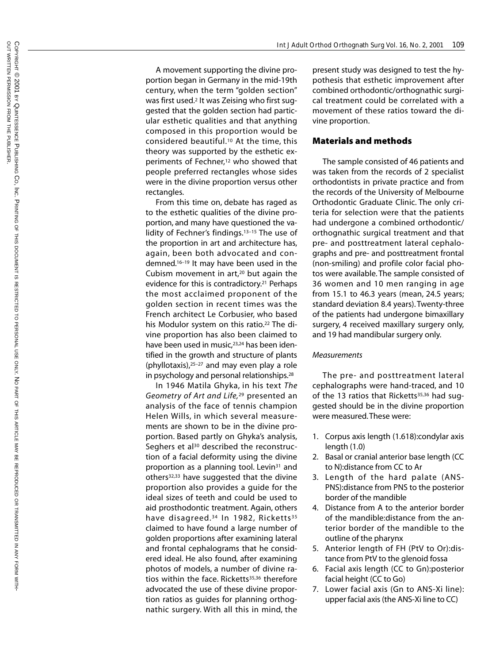A movement supporting the divine proportion began in Germany in the mid-19th century, when the term "golden section" was first used. <sup>2</sup> It was Zeising who first suggested that the golden section had particular esthetic qualities and that anything composed in this proportion would be considered beautiful.10 At the time, this theory was supported by the esthetic experiments of Fechner,<sup>12</sup> who showed that people preferred rectangles whose sides were in the divine proportion versus other rectangles.

From this time on, debate has raged as to the esthetic qualities of the divine proportion, and many have questioned the validity of Fechner's findings.13–15 The use of the proportion in art and architecture has, again, been both advocated and condemned.16–19 It may have been used in the Cubism movement in art,20 but again the evidence for this is contradictory.<sup>21</sup> Perhaps the most acclaimed proponent of the golden section in recent times was the French architect Le Corbusier, who based his Modulor system on this ratio.<sup>22</sup> The divine proportion has also been claimed to have been used in music,<sup>23,24</sup> has been identified in the growth and structure of plants (phyllotaxis),25–27 and may even play a role in psychology and personal relationships.28

In 1946 Matila Ghyka, in his text *The Geometry of Art and Life,*<sup>29</sup> presented an analysis of the face of tennis champion Helen Wills, in which several measurements are shown to be in the divine proportion. Based partly on Ghyka's analysis, Seghers et al<sup>30</sup> described the reconstruction of a facial deformity using the divine proportion as a planning tool. Levin<sup>31</sup> and others32,33 have suggested that the divine proportion also provides a guide for the ideal sizes of teeth and could be used to aid prosthodontic treatment. Again, others have disagreed.<sup>34</sup> In 1982, Ricketts<sup>35</sup> claimed to have found a large number of golden proportions after examining lateral and frontal cephalograms that he considered ideal. He also found, after examining photos of models, a number of divine ratios within the face. Ricketts<sup>35,36</sup> therefore advocated the use of these divine proportion ratios as guides for planning orthognathic surgery. With all this in mind, the

present study was designed to test the hypothesis that esthetic improvement after combined orthodontic/orthognathic surgical treatment could be correlated with a movement of these ratios toward the divine proportion.

## **Materials and methods**

The sample consisted of 46 patients and was taken from the records of 2 specialist orthodontists in private practice and from the records of the University of Melbourne Orthodontic Graduate Clinic. The only criteria for selection were that the patients had undergone a combined orthodontic/ orthognathic surgical treatment and that pre- and posttreatment lateral cephalographs and pre- and posttreatment frontal (non-smiling) and profile color facial photos were available. The sample consisted of 36 women and 10 men ranging in age from 15.1 to 46.3 years (mean, 24.5 years; standard deviation 8.4 years). Twenty-three of the patients had undergone bimaxillary surgery, 4 received maxillary surgery only, and 19 had mandibular surgery only.

#### *Measurements*

The pre- and posttreatment lateral cephalographs were hand-traced, and 10 of the 13 ratios that Ricketts<sup>35,36</sup> had suggested should be in the divine proportion were measured.These were:

- 1. Corpus axis length (1.618):condylar axis length (1.0)
- 2. Basal or cranial anterior base length (CC to N):distance from CC to Ar
- 3. Length of the hard palate (ANS-PNS):distance from PNS to the posterior border of the mandible
- 4. Distance from A to the anterior border of the mandible:distance from the anterior border of the mandible to the outline of the pharynx
- 5. Anterior length of FH (PtV to Or):distance from PtV to the glenoid fossa
- 6. Facial axis length (CC to Gn):posterior facial height (CC to Go)
- 7. Lower facial axis (Gn to ANS-Xi line): upper facial axis (the ANS-Xi line to CC)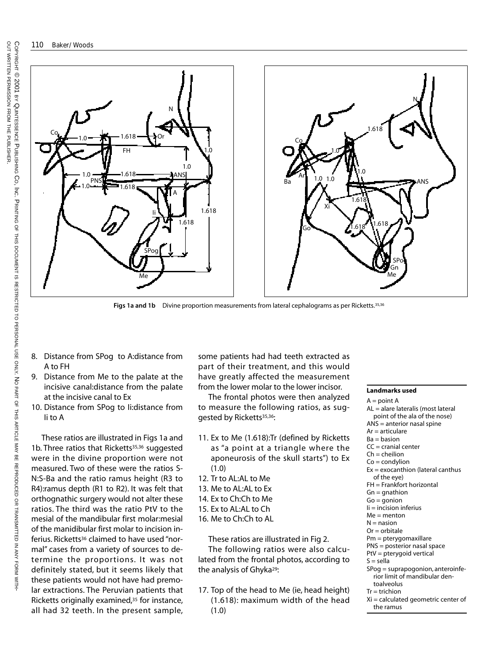

**Figs 1a and 1b** Divine proportion measurements from lateral cephalograms as per Ricketts.35,36

- 8. Distance from SPog to A:distance from A to FH
- 9. Distance from Me to the palate at the incisive canal:distance from the palate at the incisive canal to Ex
- 10. Distance from SPog to Ii:distance from Ii to A

These ratios are illustrated in Figs 1a and 1b. Three ratios that Ricketts<sup>35,36</sup> suggested were in the divine proportion were not measured. Two of these were the ratios S-N:S-Ba and the ratio ramus height (R3 to R4):ramus depth (R1 to R2). It was felt that orthognathic surgery would not alter these ratios. The third was the ratio PtV to the mesial of the mandibular first molar:mesial of the manidibular first molar to incision inferius. Ricketts<sup>36</sup> claimed to have used "normal" cases from a variety of sources to determine the proportions. It was not definitely stated, but it seems likely that these patients would not have had premolar extractions. The Peruvian patients that Ricketts originally examined,<sup>35</sup> for instance, all had 32 teeth. In the present sample,

some patients had had teeth extracted as part of their treatment, and this would have greatly affected the measurement from the lower molar to the lower incisor.

The frontal photos were then analyzed to measure the following ratios, as suggested by Ricketts<sup>35,36</sup>:

- 11. Ex to Me (1.618):Tr (defined by Ricketts as "a point at a triangle where the aponeurosis of the skull starts") to Ex (1.0)
- 12. Tr to AL:AL to Me
- 13. Me to AL:AL to Ex
- 14. Ex to Ch:Ch to Me
- 15. Ex to AL:AL to Ch
- 16. Me to Ch:Ch to AL

These ratios are illustrated in Fig 2. The following ratios were also calculated from the frontal photos, according to the analysis of Ghyka<sup>29</sup>:

17. Top of the head to Me (ie, head height) (1.618): maximum width of the head (1.0)

#### **Landmarks used**

the ramus

 $A = point A$ AL = alare lateralis (most lateral point of the ala of the nose) ANS = anterior nasal spine  $Ar =$ articulare  $Ba = b$ asion  $CC =$  cranial center  $Ch = chelion$  $Co =$ condylion Ex = exocanthion (lateral canthus of the eye) FH = Frankfort horizontal  $Gn = g$ nathion  $Go = q$ onion Ii = incision inferius  $Me =$  menton  $N =$  nasion  $Or = orbitale$ Pm = pterygomaxillare PNS = posterior nasal space PtV = pterygoid vertical  $S =$  sella SPog = suprapogonion, anteroinferior limit of mandibular dentoalveolus  $Tr = trichion$ Xi = calculated geometric center of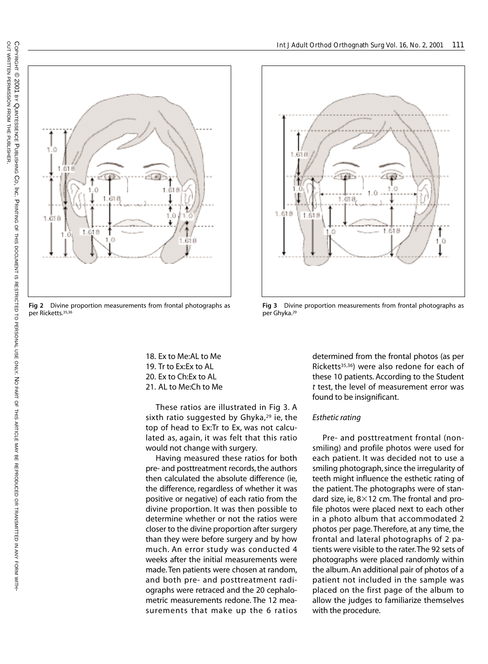

**Fig 2** Divine proportion measurements from frontal photographs as per Ricketts.35,36

- 18. Ex to Me:AL to Me
- 19. Tr to Ex:Ex to AL
- 20. Ex to Ch:Ex to AL
- 21. AL to Me:Ch to Me

These ratios are illustrated in Fig 3. A sixth ratio suggested by Ghyka,<sup>29</sup> ie, the top of head to Ex:Tr to Ex, was not calculated as, again, it was felt that this ratio would not change with surgery.

Having measured these ratios for both pre- and posttreatment records, the authors then calculated the absolute difference (ie, the difference, regardless of whether it was positive or negative) of each ratio from the divine proportion. It was then possible to determine whether or not the ratios were closer to the divine proportion after surgery than they were before surgery and by how much. An error study was conducted 4 weeks after the initial measurements were made. Ten patients were chosen at random, and both pre- and posttreatment radiographs were retraced and the 20 cephalometric measurements redone. The 12 measurements that make up the 6 ratios



**Fig 3** Divine proportion measurements from frontal photographs as per Ghyka.29

determined from the frontal photos (as per Ricketts<sup>35,36</sup>) were also redone for each of these 10 patients. According to the Student *t* test, the level of measurement error was found to be insignificant.

# *Esthetic rating*

Pre- and posttreatment frontal (nonsmiling) and profile photos were used for each patient. It was decided not to use a smiling photograph, since the irregularity of teeth might influence the esthetic rating of the patient. The photographs were of standard size, ie,  $8\times12$  cm. The frontal and profile photos were placed next to each other in a photo album that accommodated 2 photos per page. Therefore, at any time, the frontal and lateral photographs of 2 patients were visible to the rater.The 92 sets of photographs were placed randomly within the album. An additional pair of photos of a patient not included in the sample was placed on the first page of the album to allow the judges to familiarize themselves with the procedure.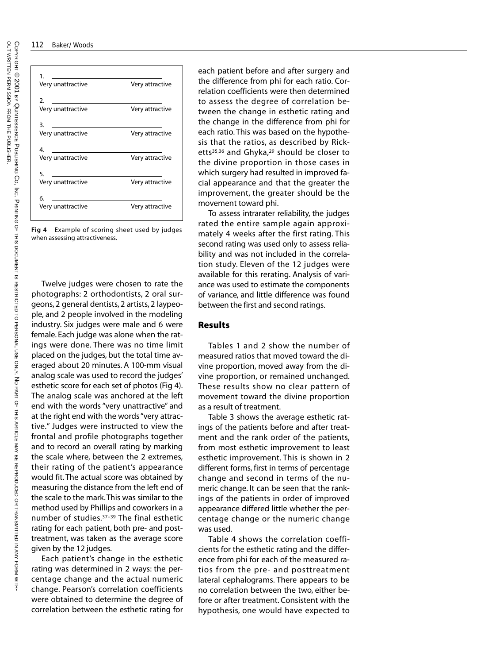#### 112 Baker/Woods

| 1.                |                 |
|-------------------|-----------------|
| Very unattractive | Very attractive |
|                   |                 |
| 2.                |                 |
| Very unattractive | Very attractive |
| З.                |                 |
| Very unattractive | Very attractive |
| 4.                |                 |
| Very unattractive | Very attractive |
| 5.                |                 |
| Very unattractive | Very attractive |
|                   |                 |
| 6.                |                 |
| Very unattractive | Very attractive |
|                   |                 |

**Fig 4** Example of scoring sheet used by judges when assessing attractiveness.

Twelve judges were chosen to rate the photographs: 2 orthodontists, 2 oral surgeons, 2 general dentists, 2 artists, 2 laypeople, and 2 people involved in the modeling industry. Six judges were male and 6 were female. Each judge was alone when the ratings were done. There was no time limit placed on the judges, but the total time averaged about 20 minutes. A 100-mm visual analog scale was used to record the judges' esthetic score for each set of photos (Fig 4). The analog scale was anchored at the left end with the words "very unattractive" and at the right end with the words "very attractive." Judges were instructed to view the frontal and profile photographs together and to record an overall rating by marking the scale where, between the 2 extremes, their rating of the patient's appearance would fit. The actual score was obtained by measuring the distance from the left end of the scale to the mark.This was similar to the method used by Phillips and coworkers in a number of studies.37–39 The final esthetic rating for each patient, both pre- and posttreatment, was taken as the average score given by the 12 judges.

Each patient's change in the esthetic rating was determined in 2 ways: the percentage change and the actual numeric change. Pearson's correlation coefficients were obtained to determine the degree of correlation between the esthetic rating for

each patient before and after surgery and the difference from phi for each ratio. Correlation coefficients were then determined to assess the degree of correlation between the change in esthetic rating and the change in the difference from phi for each ratio. This was based on the hypothesis that the ratios, as described by Ricketts35,36 and Ghyka,29 should be closer to the divine proportion in those cases in which surgery had resulted in improved facial appearance and that the greater the improvement, the greater should be the movement toward phi.

To assess intrarater reliability, the judges rated the entire sample again approximately 4 weeks after the first rating. This second rating was used only to assess reliability and was not included in the correlation study. Eleven of the 12 judges were available for this rerating. Analysis of variance was used to estimate the components of variance, and little difference was found between the first and second ratings.

## **Results**

Tables 1 and 2 show the number of measured ratios that moved toward the divine proportion, moved away from the divine proportion, or remained unchanged. These results show no clear pattern of movement toward the divine proportion as a result of treatment.

Table 3 shows the average esthetic ratings of the patients before and after treatment and the rank order of the patients, from most esthetic improvement to least esthetic improvement. This is shown in 2 different forms, first in terms of percentage change and second in terms of the numeric change. It can be seen that the rankings of the patients in order of improved appearance differed little whether the percentage change or the numeric change was used.

Table 4 shows the correlation coefficients for the esthetic rating and the difference from phi for each of the measured ratios from the pre- and posttreatment lateral cephalograms. There appears to be no correlation between the two, either before or after treatment. Consistent with the hypothesis, one would have expected to

WITH-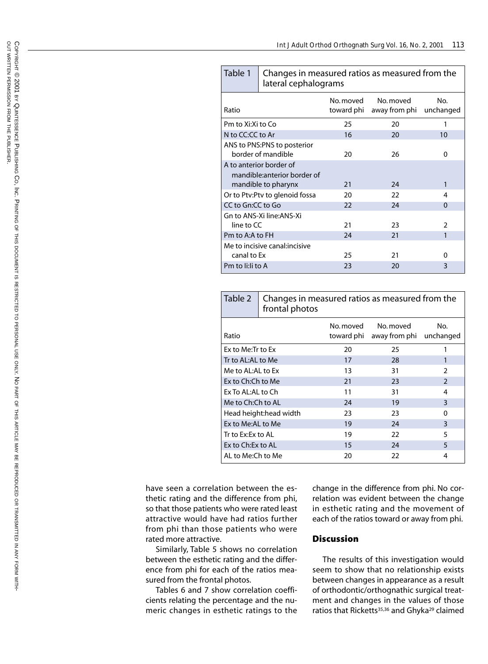| Table 1                                            | Changes in measured ratios as measured from the<br>lateral cephalograms |           |                                                |                |  |  |
|----------------------------------------------------|-------------------------------------------------------------------------|-----------|------------------------------------------------|----------------|--|--|
| Ratio                                              |                                                                         | No. moved | No moved<br>toward phi away from phi unchanged | No.            |  |  |
| Pm to Xi:Xi to Co                                  |                                                                         | 25        | 20                                             | 1              |  |  |
| N to CC:CC to Ar                                   |                                                                         | 16        | 20                                             | 10             |  |  |
| ANS to PNS:PNS to posterior<br>border of mandible  |                                                                         | 26<br>20  |                                                | O              |  |  |
|                                                    | A to anterior border of                                                 |           |                                                |                |  |  |
| mandible:anterior border of<br>mandible to pharynx |                                                                         | 21        | 24                                             | 1              |  |  |
|                                                    | Or to Ptv:Ptv to glenoid fossa                                          |           | 22                                             | 4              |  |  |
|                                                    | CC to Gn:CC to Go                                                       |           | 24                                             | $\Omega$       |  |  |
| Gn to ANS-Xi line:ANS-Xi<br>line to CC             |                                                                         | 21        | 23                                             | $\mathfrak{p}$ |  |  |
| Pm to A:A to FH                                    |                                                                         | 24        | 21                                             | 1              |  |  |
| canal to Ex                                        | Me to incisive canal:incisive                                           | 25        | 21                                             | O              |  |  |
| Pm to li:li to A                                   |                                                                         | 23        | 20                                             | 3              |  |  |

| Table 2                 | Changes in measured ratios as measured from the<br>frontal photos |                         |                            |                  |  |  |
|-------------------------|-------------------------------------------------------------------|-------------------------|----------------------------|------------------|--|--|
| Ratio                   |                                                                   | No. moved<br>toward phi | No. moved<br>away from phi | No.<br>unchanged |  |  |
| Ex to Me: Tr to Ex      |                                                                   | 20                      | 25                         |                  |  |  |
| Tr to AL:AL to Me       |                                                                   | 17                      | 28                         | 1                |  |  |
| Me to AL:AL to Ex       |                                                                   | 13                      | 31                         | 2                |  |  |
| Ex to Ch:Ch to Me       |                                                                   | 21                      | 23                         | $\mathcal{P}$    |  |  |
| Ex To AL:AL to Ch       |                                                                   | 11                      | 31                         | 4                |  |  |
| Me to Ch:Ch to AL       |                                                                   | 24                      | 19                         | 3                |  |  |
| Head height: head width |                                                                   | 23                      | 23                         | 0                |  |  |
| Ex to Me:AL to Me       |                                                                   | 19                      | 24                         | 3                |  |  |
| Tr to Ex: Ex to AL      |                                                                   | 19                      | 22                         | 5                |  |  |
| Ex to Ch: Ex to AL      |                                                                   | 15                      | 24                         | 5                |  |  |
| AL to Me:Ch to Me       |                                                                   | 20                      | 22                         | 4                |  |  |

have seen a correlation between the esthetic rating and the difference from phi, so that those patients who were rated least attractive would have had ratios further from phi than those patients who were rated more attractive.

Similarly, Table 5 shows no correlation between the esthetic rating and the difference from phi for each of the ratios measured from the frontal photos.

Tables 6 and 7 show correlation coefficients relating the percentage and the numeric changes in esthetic ratings to the change in the difference from phi. No correlation was evident between the change in esthetic rating and the movement of each of the ratios toward or away from phi.

# **Discussion**

The results of this investigation would seem to show that no relationship exists between changes in appearance as a result of orthodontic/orthognathic surgical treatment and changes in the values of those ratios that Ricketts<sup>35,36</sup> and Ghyka<sup>29</sup> claimed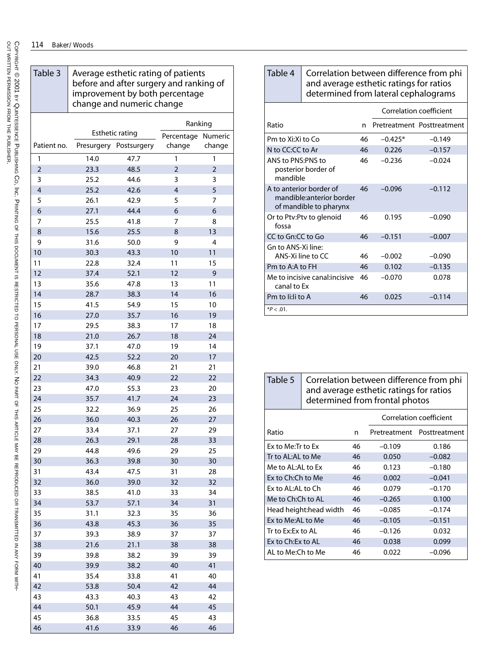COPYRIGHT

o<br>F

WRITTEN

PERMISSION

 FROMTHE

PUBLISHER.

© 2001 BY

QUINTESSENCE

PUBLISHING

CO, INC. PRINTING

 OFTHIS

DOCUMENT

 $\overline{o}$ 

RESTRICTED

 $\vec{0}$ 

PERSONAL

USE

ONLY. NO

PART OF

 THISARTICLE

MAY BE

REPRODUCED

OR

TRANSMITTED

IN ANY FORM

WITH-

| Table 3                 | Average esthetic rating of patients<br>before and after surgery and ranking of<br>improvement by both percentage<br>change and numeric change |                        |                |                |  |
|-------------------------|-----------------------------------------------------------------------------------------------------------------------------------------------|------------------------|----------------|----------------|--|
|                         | Ranking                                                                                                                                       |                        |                |                |  |
|                         |                                                                                                                                               | <b>Esthetic rating</b> | Percentage     | Numeric        |  |
| Patient no.             |                                                                                                                                               | Presurgery Postsurgery | change         | change         |  |
| 1                       | 14.0                                                                                                                                          | 47.7                   | 1              | 1              |  |
| $\overline{2}$          | 23.3                                                                                                                                          | 48.5                   | $\overline{2}$ | $\overline{2}$ |  |
| 3                       | 25.2                                                                                                                                          | 44.6                   | 3              | 3              |  |
| $\overline{\mathbf{4}}$ | 25.2                                                                                                                                          | 42.6                   | $\overline{4}$ | 5              |  |
| 5                       | 26.1                                                                                                                                          | 42.9                   | 5              | 7              |  |
| 6                       | 27.1                                                                                                                                          | 44.4                   | 6              | 6              |  |
| 7                       | 25.5                                                                                                                                          | 41.8                   | 7              | 8              |  |
| 8                       | 15.6                                                                                                                                          | 25.5                   | 8              | 13             |  |
| 9                       | 31.6                                                                                                                                          | 50.0                   | 9              | 4              |  |
| 10                      | 30.3                                                                                                                                          | 43.3                   | 10             | 11             |  |
| 11                      | 22.8                                                                                                                                          | 32.4                   | 11             | 15             |  |
| 12                      | 37.4                                                                                                                                          | 52.1                   | 12             | 9              |  |
| 13                      | 35.6                                                                                                                                          | 47.8                   | 13<br>14       | 11<br>16       |  |
| 14                      | 28.7                                                                                                                                          | 38.3                   |                |                |  |
| 15                      | 41.5                                                                                                                                          | 54.9                   | 15             | 10             |  |
| 16<br>17                | 27.0<br>29.5                                                                                                                                  | 35.7<br>38.3           | 16<br>17       | 19<br>18       |  |
| 18                      | 21.0                                                                                                                                          | 26.7                   | 18             | 24             |  |
| 19                      | 37.1                                                                                                                                          | 47.0                   | 19             | 14             |  |
| 20                      | 42.5                                                                                                                                          | 52.2                   | 20             | 17             |  |
| 21                      | 39.0                                                                                                                                          | 46.8                   | 21             | 21             |  |
| 22                      | 34.3                                                                                                                                          | 40.9                   | 22             | 22             |  |
| 23                      | 47.0                                                                                                                                          | 55.3                   | 23             | 20             |  |
| 24                      | 35.7                                                                                                                                          | 41.7                   | 24             | 23             |  |
| 25                      | 32.2                                                                                                                                          | 36.9                   | 25             | 26             |  |
| 26                      | 36.0                                                                                                                                          | 40.3                   | 26             | 27             |  |
| 27                      | 33.4                                                                                                                                          | 37.1                   | 27             | 29             |  |
| 28                      | 26.3                                                                                                                                          | 29.1                   | 28             | 33             |  |
| 29                      | 44.8                                                                                                                                          | 49.6                   | 29             | 25             |  |
| 30                      | 36.3                                                                                                                                          | 39.8                   | 30             | 30             |  |
| 31                      | 43.4                                                                                                                                          | 47.5                   | 31             | 28             |  |
| 32                      | 36.0                                                                                                                                          | 39.0                   | 32             | 32             |  |
| 33                      | 38.5                                                                                                                                          | 41.0                   | 33             | 34             |  |
| 34                      | 53.7                                                                                                                                          | 57.1                   | 34             | 31             |  |
| 35                      | 31.1                                                                                                                                          | 32.3                   | 35             | 36             |  |
| 36                      | 43.8                                                                                                                                          | 45.3                   | 36             | 35             |  |
| 37                      | 39.3                                                                                                                                          | 38.9                   | 37             | 37             |  |
| 38                      | 21.6                                                                                                                                          | 21.1                   | 38             | 38             |  |
| 39                      | 39.8                                                                                                                                          | 38.2                   | 39             | 39             |  |
| 40                      | 39.9                                                                                                                                          | 38.2                   | 40             | 41             |  |
| 41                      | 35.4                                                                                                                                          | 33.8                   | 41             | 40             |  |
| 42                      | 53.8                                                                                                                                          | 50.4                   | 42             | 44             |  |
| 43                      | 43.3                                                                                                                                          | 40.3                   | 43             | 42             |  |
| 44                      | 50.1                                                                                                                                          | 45.9                   | 44             | 45             |  |
| 45                      | 36.8                                                                                                                                          | 33.5                   | 45             | 43             |  |
| 46                      | 41.6                                                                                                                                          | 33.9                   | 46             | 46             |  |

| Table 4                                                                       | Correlation between difference from phi<br>and average esthetic ratings for ratios<br>determined from lateral cephalograms |    |                         |                            |  |
|-------------------------------------------------------------------------------|----------------------------------------------------------------------------------------------------------------------------|----|-------------------------|----------------------------|--|
|                                                                               |                                                                                                                            |    | Correlation coefficient |                            |  |
| Ratio                                                                         |                                                                                                                            | n  |                         | Pretreatment Posttreatment |  |
| Pm to Xi:Xi to Co                                                             |                                                                                                                            | 46 | $-0.425*$               | $-0.149$                   |  |
| N to CC:CC to Ar                                                              |                                                                                                                            | 46 | 0.226                   | $-0.157$                   |  |
| ANS to PNS:PNS to<br>posterior border of<br>mandible                          |                                                                                                                            | 46 | $-0.236$                | $-0.024$                   |  |
| A to anterior border of<br>mandible:anterior border<br>of mandible to pharynx |                                                                                                                            | 46 | $-0.096$                | $-0.112$                   |  |
| fossa                                                                         | Or to Ptv:Ptv to glenoid                                                                                                   | 46 | 0.195                   | $-0.090$                   |  |
| CC to Gn:CC to Go                                                             |                                                                                                                            | 46 | $-0.151$                | $-0.007$                   |  |
| Gn to ANS-Xi line:                                                            | ANS-Xi line to CC                                                                                                          | 46 | $-0.002$                | $-0.090$                   |  |
| Pm to A:A to FH                                                               |                                                                                                                            | 46 | 0.102                   | $-0.135$                   |  |
| canal to Ex                                                                   | Me to incisive canal: incisive                                                                                             | 46 | $-0.070$                | 0.078                      |  |
| Pm to li:li to A                                                              |                                                                                                                            | 46 | 0.025                   | $-0.114$                   |  |
| $*P < .01$ .                                                                  |                                                                                                                            |    |                         |                            |  |

| Table 5            | Correlation between difference from phi<br>and average esthetic ratings for ratios<br>determined from frontal photos |    |                   |          |  |
|--------------------|----------------------------------------------------------------------------------------------------------------------|----|-------------------|----------|--|
|                    | Correlation coefficient                                                                                              |    |                   |          |  |
| Ratio              | Posttreatment<br>Pretreatment<br>n                                                                                   |    |                   |          |  |
| Ex to Me: Tr to Ex |                                                                                                                      | 46 | $-0.109$          | 0.186    |  |
| Tr to AL:AL to Me  |                                                                                                                      | 46 | 0.050             | $-0.082$ |  |
| Me to AL:AL to Ex  |                                                                                                                      | 46 | 0.123             | $-0.180$ |  |
| Ex to Ch:Ch to Me  |                                                                                                                      | 46 | $-0.041$<br>0.002 |          |  |
| Ex to AL:AL to Ch  |                                                                                                                      | 46 | $-0.170$<br>0.079 |          |  |
| Me to Ch:Ch to AL  |                                                                                                                      | 46 | 0.100<br>$-0.265$ |          |  |
|                    | Head height:head width                                                                                               | 46 | $-0.085$          | $-0.174$ |  |
| Ex to Me:AL to Me  |                                                                                                                      | 46 | $-0.105$          | $-0.151$ |  |
| Tr to Ex:Ex to AL  |                                                                                                                      | 46 | $-0.126$          | 0.032    |  |
| Ex to Ch: Ex to AL |                                                                                                                      | 46 | 0.038             | 0.099    |  |
| AL to Me:Ch to Me  |                                                                                                                      | 46 | 0.022             | -0.096   |  |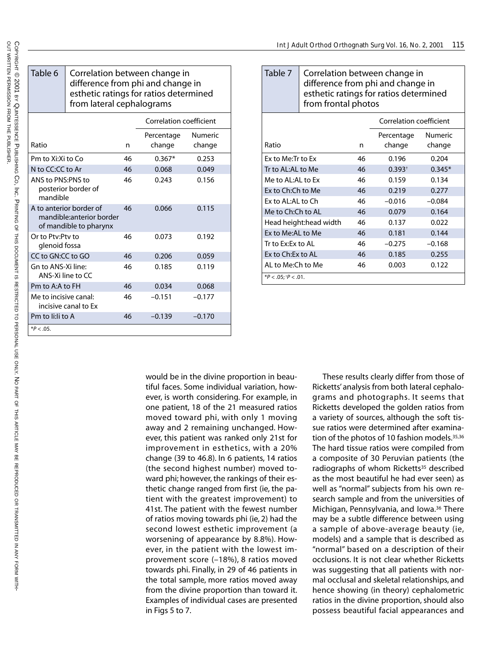| Table 6                                                                       | Correlation between change in<br>difference from phi and change in<br>esthetic ratings for ratios determined<br>from lateral cephalograms |                                |                      |                   |
|-------------------------------------------------------------------------------|-------------------------------------------------------------------------------------------------------------------------------------------|--------------------------------|----------------------|-------------------|
|                                                                               |                                                                                                                                           | <b>Correlation coefficient</b> |                      |                   |
| Ratio                                                                         |                                                                                                                                           | n                              | Percentage<br>change | Numeric<br>change |
| Pm to Xi:Xi to Co                                                             |                                                                                                                                           | 46                             | $0.367*$             | 0.253             |
| N to CC:CC to Ar                                                              |                                                                                                                                           | 46                             | 0.068                | 0.049             |
| ANS to PNS:PNS to<br>posterior border of<br>mandible                          |                                                                                                                                           | 46                             | 0.243                | 0.156             |
| A to anterior border of<br>mandible:anterior border<br>of mandible to pharynx |                                                                                                                                           | 46                             | 0.066                | 0.115             |
| Or to Pty:Pty to<br>glenoid fossa                                             |                                                                                                                                           | 46                             | 0.073                | 0.192             |
| CC to GN:CC to GO                                                             |                                                                                                                                           | 46                             | 0.206                | 0.059             |
| Gn to ANS-Xi line:<br>ANS-Xi line to CC                                       |                                                                                                                                           | 46                             | 0.185                | 0.119             |
| Pm to A:A to FH                                                               |                                                                                                                                           | 46                             | 0.034                | 0.068             |
| Me to incisive canal:                                                         | incisive canal to Ex                                                                                                                      | 46                             | $-0.151$             | $-0.177$          |
| Pm to li:li to A                                                              |                                                                                                                                           | 46                             | $-0.139$             | $-0.170$          |
| $*P < .05$ .                                                                  |                                                                                                                                           |                                |                      |                   |

| Table 7                                   | Correlation between change in<br>difference from phi and change in<br>esthetic ratings for ratios determined<br>from frontal photos |    |             |          |
|-------------------------------------------|-------------------------------------------------------------------------------------------------------------------------------------|----|-------------|----------|
|                                           | Correlation coefficient                                                                                                             |    |             |          |
|                                           |                                                                                                                                     |    | Percentage  | Numeric  |
| Ratio                                     |                                                                                                                                     | n  | change      | change   |
| Ex to Me:Tr to Ex                         |                                                                                                                                     | 46 | 0.196       | 0.204    |
| Tr to AL:AL to Me                         |                                                                                                                                     | 46 | $0.393^{+}$ | $0.345*$ |
| Me to AL:AL to Ex<br>46                   |                                                                                                                                     |    | 0.159       | 0.134    |
| Ex to Ch:Ch to Me<br>46                   |                                                                                                                                     |    | 0.219       | 0.277    |
| Ex to AL:AL to Ch<br>46                   |                                                                                                                                     |    | $-0.016$    | $-0.084$ |
| Me to Ch:Ch to AL                         |                                                                                                                                     | 46 | 0.079       | 0.164    |
| Head height:head width<br>46              |                                                                                                                                     |    | 0.137       | 0.022    |
| Ex to Me:AL to Me                         |                                                                                                                                     | 46 | 0.181       | 0.144    |
| Tr to Ex:Ex to AL<br>46                   |                                                                                                                                     |    | $-0.275$    | $-0.168$ |
| Ex to Ch: Ex to AL<br>46                  |                                                                                                                                     |    | 0.185       | 0.255    |
| Al to Me:Ch to Me<br>46<br>0.003<br>0.122 |                                                                                                                                     |    |             |          |
| * $P < .05$ ; $P < .01$ .                 |                                                                                                                                     |    |             |          |

would be in the divine proportion in beautiful faces. Some individual variation, however, is worth considering. For example, in one patient, 18 of the 21 measured ratios moved toward phi, with only 1 moving away and 2 remaining unchanged. However, this patient was ranked only 21st for improvement in esthetics, with a 20% change (39 to 46.8). In 6 patients, 14 ratios (the second highest number) moved toward phi; however, the rankings of their esthetic change ranged from first (ie, the patient with the greatest improvement) to 41st. The patient with the fewest number of ratios moving towards phi (ie, 2) had the second lowest esthetic improvement (a worsening of appearance by 8.8%). However, in the patient with the lowest improvement score (–18%), 8 ratios moved towards phi. Finally, in 29 of 46 patients in the total sample, more ratios moved away from the divine proportion than toward it. Examples of individual cases are presented in Figs 5 to 7.

These results clearly differ from those of Ricketts' analysis from both lateral cephalograms and photographs. It seems that Ricketts developed the golden ratios from a variety of sources, although the soft tissue ratios were determined after examination of the photos of 10 fashion models.<sup>35,36</sup> The hard tissue ratios were compiled from a composite of 30 Peruvian patients (the radiographs of whom Ricketts<sup>35</sup> described as the most beautiful he had ever seen) as well as "normal" subjects from his own research sample and from the universities of Michigan, Pennsylvania, and Iowa.36 There may be a subtle difference between using a sample of above-average beauty (ie, models) and a sample that is described as "normal" based on a description of their occlusions. It is not clear whether Ricketts was suggesting that all patients with normal occlusal and skeletal relationships, and hence showing (in theory) cephalometric ratios in the divine proportion, should also possess beautiful facial appearances and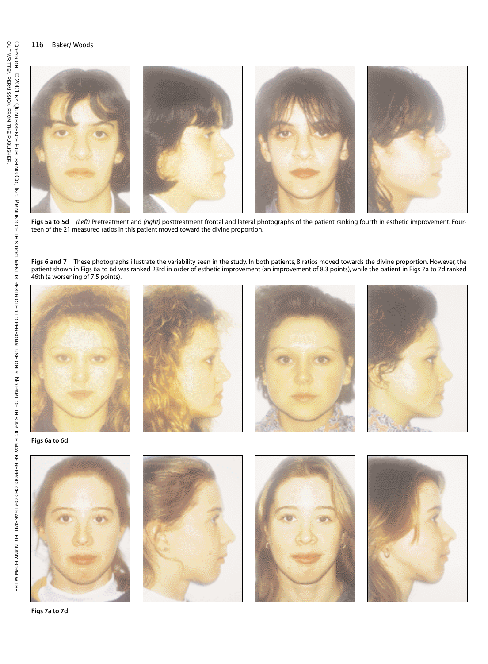

**Figs 5a to 5d** *(Left)* Pretreatment and *(right)* posttreatment frontal and lateral photographs of the patient ranking fourth in esthetic improvement. Fourteen of the 21 measured ratios in this patient moved toward the divine proportion.

Figs 6 and 7 These photographs illustrate the variability seen in the study. In both patients, 8 ratios moved towards the divine proportion. However, the patient shown in Figs 6a to 6d was ranked 23rd in order of esthetic improvement (an improvement of 8.3 points), while the patient in Figs 7a to 7d ranked 46th (a worsening of 7.5 points).



**Figs 7a to 7d**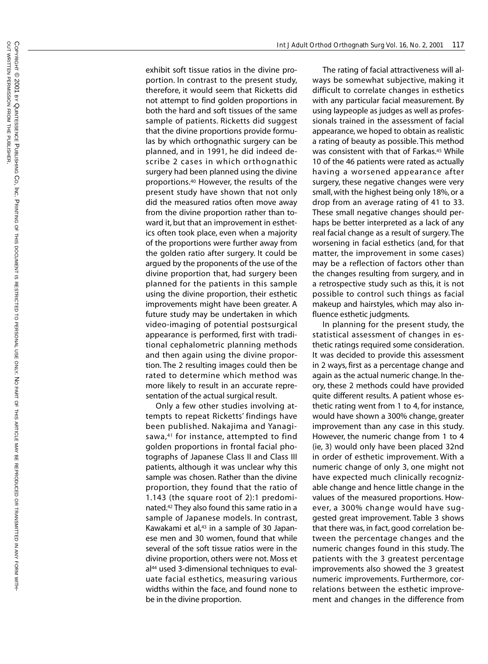exhibit soft tissue ratios in the divine proportion. In contrast to the present study, therefore, it would seem that Ricketts did not attempt to find golden proportions in both the hard and soft tissues of the same sample of patients. Ricketts did suggest that the divine proportions provide formulas by which orthognathic surgery can be planned, and in 1991, he did indeed describe 2 cases in which orthognathic surgery had been planned using the divine proportions.40 However, the results of the present study have shown that not only did the measured ratios often move away from the divine proportion rather than toward it, but that an improvement in esthetics often took place, even when a majority of the proportions were further away from the golden ratio after surgery. It could be argued by the proponents of the use of the divine proportion that, had surgery been planned for the patients in this sample using the divine proportion, their esthetic improvements might have been greater. A future study may be undertaken in which video-imaging of potential postsurgical appearance is performed, first with traditional cephalometric planning methods and then again using the divine proportion. The 2 resulting images could then be rated to determine which method was more likely to result in an accurate representation of the actual surgical result.

Only a few other studies involving attempts to repeat Ricketts' findings have been published. Nakajima and Yanagisawa,<sup>41</sup> for instance, attempted to find golden proportions in frontal facial photographs of Japanese Class II and Class III patients, although it was unclear why this sample was chosen. Rather than the divine proportion, they found that the ratio of 1.143 (the square root of 2):1 predominated.42 They also found this same ratio in a sample of Japanese models. In contrast, Kawakami et al,<sup>43</sup> in a sample of 30 Japanese men and 30 women, found that while several of the soft tissue ratios were in the divine proportion, others were not. Moss et al<sup>44</sup> used 3-dimensional techniques to evaluate facial esthetics, measuring various widths within the face, and found none to be in the divine proportion.

The rating of facial attractiveness will always be somewhat subjective, making it difficult to correlate changes in esthetics with any particular facial measurement. By using laypeople as judges as well as professionals trained in the assessment of facial appearance, we hoped to obtain as realistic a rating of beauty as possible. This method was consistent with that of Farkas.<sup>45</sup> While 10 of the 46 patients were rated as actually having a worsened appearance after surgery, these negative changes were very small, with the highest being only 18%, or a drop from an average rating of 41 to 33. These small negative changes should perhaps be better interpreted as a lack of any real facial change as a result of surgery. The worsening in facial esthetics (and, for that matter, the improvement in some cases) may be a reflection of factors other than the changes resulting from surgery, and in a retrospective study such as this, it is not possible to control such things as facial makeup and hairstyles, which may also influence esthetic judgments.

In planning for the present study, the statistical assessment of changes in esthetic ratings required some consideration. It was decided to provide this assessment in 2 ways, first as a percentage change and again as the actual numeric change. In theory, these 2 methods could have provided quite different results. A patient whose esthetic rating went from 1 to 4, for instance, would have shown a 300% change, greater improvement than any case in this study. However, the numeric change from 1 to 4 (ie, 3) would only have been placed 32nd in order of esthetic improvement. With a numeric change of only 3, one might not have expected much clinically recognizable change and hence little change in the values of the measured proportions. However, a 300% change would have suggested great improvement. Table 3 shows that there was, in fact, good correlation between the percentage changes and the numeric changes found in this study. The patients with the 3 greatest percentage improvements also showed the 3 greatest numeric improvements. Furthermore, correlations between the esthetic improvement and changes in the difference from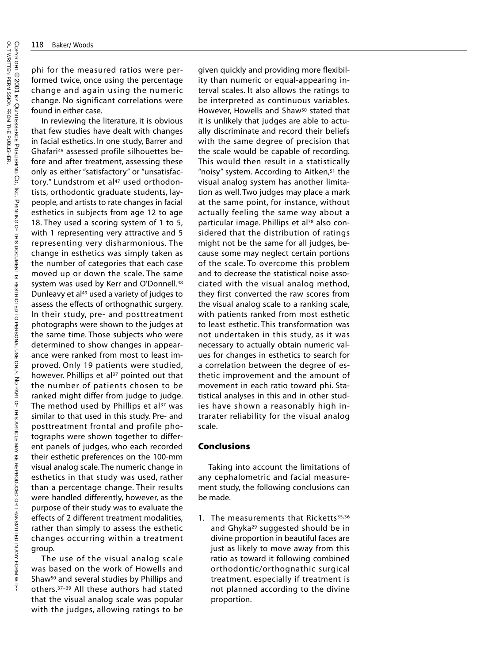WITH-

phi for the measured ratios were performed twice, once using the percentage change and again using the numeric change. No significant correlations were found in either case.

In reviewing the literature, it is obvious that few studies have dealt with changes in facial esthetics. In one study, Barrer and Ghafari46 assessed profile silhouettes before and after treatment, assessing these only as either "satisfactory" or "unsatisfactory." Lundstrom et al<sup>47</sup> used orthodontists, orthodontic graduate students, laypeople, and artists to rate changes in facial esthetics in subjects from age 12 to age 18. They used a scoring system of 1 to 5, with 1 representing very attractive and 5 representing very disharmonious. The change in esthetics was simply taken as the number of categories that each case moved up or down the scale. The same system was used by Kerr and O'Donnell.<sup>48</sup> Dunleavy et al<sup>49</sup> used a variety of judges to assess the effects of orthognathic surgery. In their study, pre- and posttreatment photographs were shown to the judges at the same time. Those subjects who were determined to show changes in appearance were ranked from most to least improved. Only 19 patients were studied, however. Phillips et al<sup>37</sup> pointed out that the number of patients chosen to be ranked might differ from judge to judge. The method used by Phillips et al $37$  was similar to that used in this study. Pre- and posttreatment frontal and profile photographs were shown together to different panels of judges, who each recorded their esthetic preferences on the 100-mm visual analog scale. The numeric change in esthetics in that study was used, rather than a percentage change. Their results were handled differently, however, as the purpose of their study was to evaluate the effects of 2 different treatment modalities, rather than simply to assess the esthetic changes occurring within a treatment group.

The use of the visual analog scale was based on the work of Howells and Shaw<sup>50</sup> and several studies by Phillips and others.37–39 All these authors had stated that the visual analog scale was popular with the judges, allowing ratings to be

given quickly and providing more flexibility than numeric or equal-appearing interval scales. It also allows the ratings to be interpreted as continuous variables. However, Howells and Shaw<sup>50</sup> stated that it is unlikely that judges are able to actually discriminate and record their beliefs with the same degree of precision that the scale would be capable of recording. This would then result in a statistically "noisy" system. According to Aitken,<sup>51</sup> the visual analog system has another limitation as well. Two judges may place a mark at the same point, for instance, without actually feeling the same way about a particular image. Phillips et al<sup>38</sup> also considered that the distribution of ratings might not be the same for all judges, because some may neglect certain portions of the scale. To overcome this problem and to decrease the statistical noise associated with the visual analog method, they first converted the raw scores from the visual analog scale to a ranking scale, with patients ranked from most esthetic to least esthetic. This transformation was not undertaken in this study, as it was necessary to actually obtain numeric values for changes in esthetics to search for a correlation between the degree of esthetic improvement and the amount of movement in each ratio toward phi. Statistical analyses in this and in other studies have shown a reasonably high intrarater reliability for the visual analog scale.

## **Conclusions**

Taking into account the limitations of any cephalometric and facial measurement study, the following conclusions can be made.

1. The measurements that Ricketts<sup>35,36</sup> and Ghyka<sup>29</sup> suggested should be in divine proportion in beautiful faces are just as likely to move away from this ratio as toward it following combined orthodontic/orthognathic surgical treatment, especially if treatment is not planned according to the divine proportion.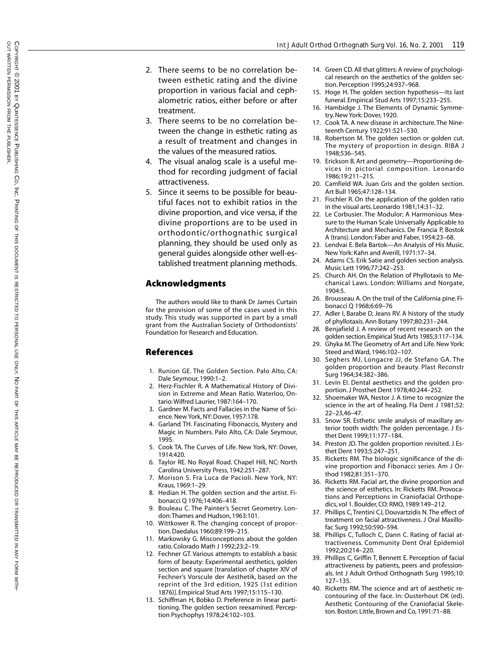- 2. There seems to be no correlation between esthetic rating and the divine proportion in various facial and cephalometric ratios, either before or after treatment.
- 3. There seems to be no correlation between the change in esthetic rating as a result of treatment and changes in the values of the measured ratios.
- 4. The visual analog scale is a useful method for recording judgment of facial attractiveness.
- 5. Since it seems to be possible for beautiful faces not to exhibit ratios in the divine proportion, and vice versa, if the divine proportions are to be used in orthodontic/orthognathic surgical planning, they should be used only as general guides alongside other well-established treatment planning methods.

## **Acknowledgments**

The authors would like to thank Dr James Curtain for the provision of some of the cases used in this study. This study was supported in part by a small grant from the Australian Society of Orthodontists' Foundation for Research and Education.

## **References**

- 1. Runion GE. The Golden Section. Palo Alto, CA: Dale Seymour, 1990:1–2.
- 2. Herz-Fischler R. A Mathematical History of Division in Extreme and Mean Ratio. Waterloo, Ontario: Wilfred Laurier, 1987:164–170.
- 3. Gardner M. Facts and Fallacies in the Name of Science. New York, NY: Dover, 1957:178.
- 4. Garland TH. Fascinating Fibonaccis, Mystery and Magic in Numbers. Palo Alto, CA: Dale Seymour, 1995.
- 5. Cook TA. The Curves of Life. New York, NY: Dover, 1914:420.
- 6. Taylor RE. No Royal Road. Chapel Hill, NC: North Carolina University Press, 1942:251–287.
- 7. Morison S. Fra Luca de Pacioli. New York, NY: Kraus, 1969:1–29.
- 8. Hedian H. The golden section and the artist. Fibonacci Q 1976;14:406–418.
- 9. Bouleau C. The Painter's Secret Geometry. London:Thames and Hudson, 1963:101.
- 10. Wittkower R. The changing concept of proportion. Daedalus 1960;89:199–215.
- 11. Markowsky G. Misconceptions about the golden ratio. Colorado Math J 1992;23:2–19.
- 12. Fechner GT. Various attempts to establish a basic form of beauty: Experimental aesthetics, golden section and square [translation of chapter XIV of Fechner's Vorscule der Aesthetik, based on the reprint of the 3rd edition, 1925 (1st edition 1876)]. Empirical Stud Arts 1997;15:115–130.
- 13. Schiffman H, Bobko D. Preference in linear partitioning. The golden section reexamined. Perception Psychophys 1978;24:102–103.
- 14. Green CD. All that glitters: A review of psychological research on the aesthetics of the golden section. Perception 1995;24:937–968.
- 15. Hoge H. The golden section hypothesis—Its last funeral. Empirical Stud Arts 1997;15:233–255.
- 16. Hambidge J. The Elements of Dynamic Symmetry. New York: Dover, 1920.
- 17. Cook TA. A new disease in architecture. The Nineteenth Century 1922;91:521–530.
- 18. Robertson M. The golden section or golden cut. The mystery of proportion in design. RIBA J 1948;536–545.
- 19. Erickson B. Art and geometry—Proportioning devices in pictorial composition. Leonardo 1986;19:211–215.
- 20. Camfield WA. Juan Gris and the golden section. Art Bull 1965;47:128–134.
- 21. Fischler R. On the application of the golden ratio in the visual arts. Leonardo 1981;14:31–32.
- 22. Le Corbusier. The Modulor; A Harmonious Measure to the Human Scale Universally Applicable to Architecture and Mechanics. De Francia P, Bostok A (trans). London: Faber and Faber, 1954:23–68.
- 23. Lendvai E. Bela Bartok—An Analysis of His Music. New York: Kahn and Averill, 1971:17–34.
- 24. Adams CS. Erik Satie and golden section analysis. Music Lett 1996;77:242–253.
- 25. Church AH. On the Relation of Phyllotaxis to Mechanical Laws. London: Williams and Norgate, 1904:5.
- 26. Brousseau A. On the trail of the California pine. Fibonacci Q 1968;6:69–76
- 27. Adler I, Barabe D, Jeans RV. A history of the study of phyllotaxis. Ann Botany 1997;80:231–244.
- 28. Benjafield J. A review of recent research on the golden section.Empirical Stud Arts 1985;3:117–134.
- 29. Ghyka M. The Geometry of Art and Life. New York: Steed and Ward, 1946:102–107.
- 30. Seghers MJ, Longacre JJ, de Stefano GA. The golden proportion and beauty. Plast Reconstr Surg 1964;34:382–386.
- 31. Levin EI. Dental aesthetics and the golden proportion. J Prosthet Dent 1978;40:244–252.
- 32. Shoemaker WA, Nestor J. A time to recognize the science in the art of healing. Fla Dent J 1981;52: 22–23,46–47.
- 33. Snow SR. Esthetic smile analysis of maxillary anterior tooth width: The golden percentage. J Esthet Dent 1999;11:177–184.
- 34. Preston JD. The golden proportion revisited. J Esthet Dent 1993;5:247–251.
- 35. Ricketts RM. The biologic significance of the divine proportion and Fibonacci series. Am J Orthod 1982;81:351–370.
- 36. Ricketts RM. Facial art, the divine proportion and the science of esthetics. In: Ricketts RM. Provocations and Perceptions in Craniofacial Orthopedics, vol 1. Boulder, CO: RMO, 1989:149–212.
- 37. Phillips C, Trentini CJ, Douvartzidis N. The effect of treatment on facial attractiveness. J Oral Maxillofac Surg 1992;50:590–594.
- 38. Phillips C, Tulloch C, Dann C. Rating of facial attractiveness. Community Dent Oral Epidemiol 1992;20:214–220.
- 39. Phillips C, Griffin T, Bennett E. Perception of facial attractiveness by patients, peers and professionals. Int J Adult Orthod Orthognath Surg 1995;10: 127–135.
- 40. Ricketts RM. The science and art of aesthetic recontouring of the face. In: Ousterhout DK (ed). Aesthetic Contouring of the Craniofacial Skeleton. Boston: Little, Brown and Co, 1991:71–88.